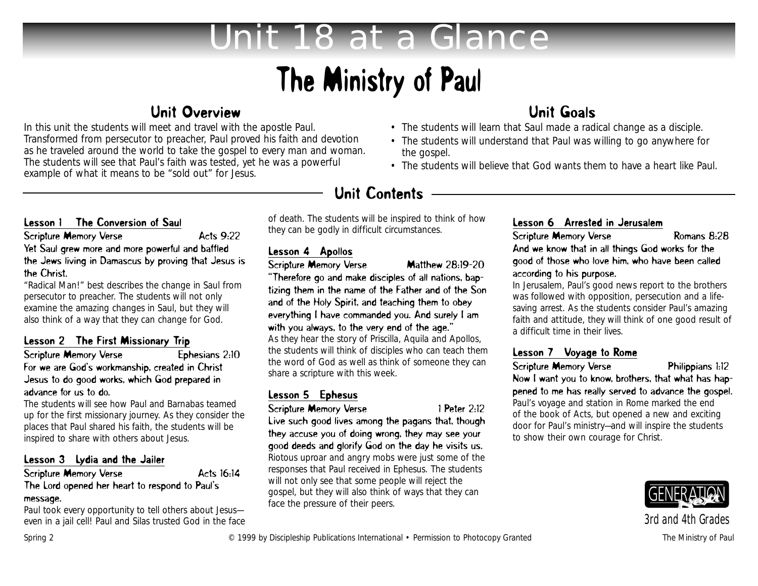# *Unit 18 at a Glance*

# The Ministry of Paul

## Unit Overview

In this unit the students will meet and travel with the apostle Paul. Transformed from persecutor to preacher, Paul proved his faith and devotion as he traveled around the world to take the gospel to every man and woman. The students will see that Paul's faith was tested, yet he was a powerful example of what it means to be "sold out" for Jesus.

## Unit Goals

- The students will learn that Saul made a radical change as a disciple.
- The students will understand that Paul was willing to go anywhere for the gospel.
- The students will believe that God wants them to have a heart like Paul.

# Unit Contents

#### Lesson 1 The Conversion of Saul

Scripture Memory Verse Acts 9:22 Yet Saul grew more and more powerful and baffled the Jews living in Damascus by proving that Jesus is the Christ.

"Radical Man!" best describes the change in Saul from persecutor to preacher. The students will not only examine the amazing changes in Saul, but they will also think of a way that they can change for God.

### Lesson 2 The First Missionary Trip

#### Scripture Memory Verse Ephesians 2:10 For we are God's workmanship, created in Christ Jesus to do good works, which God prepared in advance for us to do.

The students will see how Paul and Barnabas teamed up for the first missionary journey. As they consider the places that Paul shared his faith, the students will be inspired to share with others about Jesus.

#### Lesson 3 Lydia and the Jailer

#### Scripture Memory Verse Acts 16:14 The Lord opened her heart to respond to Paul's

#### message.

Paul took every opportunity to tell others about Jesuseven in a jail cell! Paul and Silas trusted God in the face of death. The students will be inspired to think of how they can be godly in difficult circumstances.

#### Lesson 4 Apollos

Scripture Memory Verse Matthew 28:19-20

"Therefore go and make disciples of all nations, baptizing them in the name of the Father and of the Son and of the Holy Spirit, and teaching them to obey everything I have commanded you. And surely I am with you always, to the very end of the age."

As they hear the story of Priscilla, Aquila and Apollos, the students will think of disciples who can teach them the word of God as well as think of someone they can share a scripture with this week.

#### Lesson 5 Ephesus

Scripture Memory Verse 1 Peter 2:12

Live such good lives among the pagans that, though they accuse you of doing wrong, they may see your good deeds and glorify God on the day he visits us. Riotous uproar and angry mobs were just some of the responses that Paul received in Ephesus. The students will not only see that some people will reject the gospel, but they will also think of ways that they can face the pressure of their peers.

### Lesson 6 Arrested in Jerusalem

Scripture Memory Verse Romans 8:28 And we know that in all things God works for the good of those who love him, who have been called according to his purpose.

In Jerusalem, Paul's good news report to the brothers was followed with opposition, persecution and a lifesaving arrest. As the students consider Paul's amazing faith and attitude, they will think of one good result of a difficult time in their lives.

### Lesson 7 Voyage to Rome

Scripture Memory Verse Philippians 1:12

Now I want you to know, brothers, that what has happened to me has really served to advance the gospel. Paul's voyage and station in Rome marked the end of the book of Acts, but opened a new and exciting door for Paul's ministry—and will inspire the students to show their own courage for Christ.



*3rd and 4th Grades*